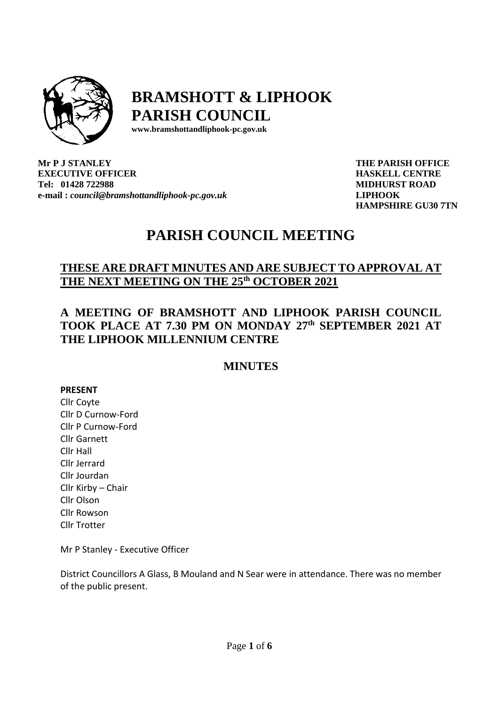

# **BRAMSHOTT & LIPHOOK PARISH COUNCIL**

**[www.bramshottandl](http://www.bramshottand/)iphook-pc.gov.uk** 

**Mr P J STANLEY EXECUTIVE OFFICER Tel: 01428 722988 e-mail :** *[council@bramshottandliphook-pc.gov.uk](mailto:council@bramshottandliphook-pc.gov.uk)* **THE PARISH OFFICE HASKELL CENTRE MIDHURST ROAD LIPHOOK HAMPSHIRE GU30 7TN**

# **PARISH COUNCIL MEETING**

# **THESE ARE DRAFT MINUTES AND ARE SUBJECT TO APPROVAL AT THE NEXT MEETING ON THE 25 th OCTOBER 2021**

# **A MEETING OF BRAMSHOTT AND LIPHOOK PARISH COUNCIL TOOK PLACE AT 7.30 PM ON MONDAY 27 th SEPTEMBER 2021 AT THE LIPHOOK MILLENNIUM CENTRE**

# **MINUTES**

# **PRESENT**

Cllr Coyte Cllr D Curnow-Ford Cllr P Curnow-Ford Cllr Garnett Cllr Hall Cllr Jerrard Cllr Jourdan Cllr Kirby – Chair Cllr Olson Cllr Rowson Cllr Trotter

Mr P Stanley - Executive Officer

District Councillors A Glass, B Mouland and N Sear were in attendance. There was no member of the public present.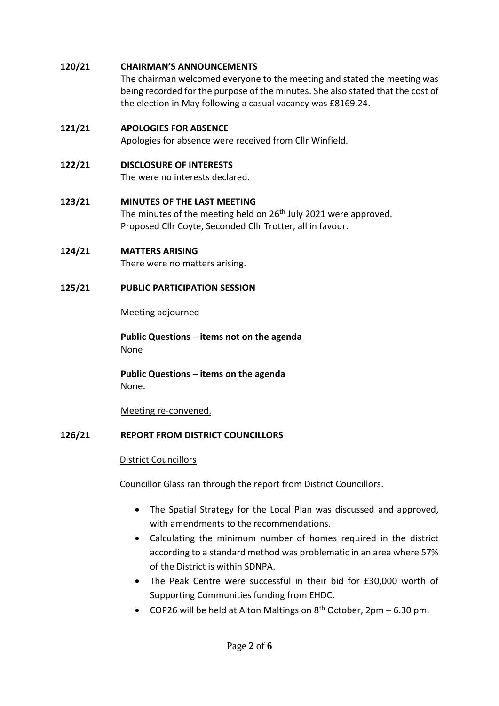# **120/21 CHAIRMAN'S ANNOUNCEMENTS**

The chairman welcomed everyone to the meeting and stated the meeting was being recorded for the purpose of the minutes. She also stated that the cost of the election in May following a casual vacancy was £8169.24.

# **121/21 APOLOGIES FOR ABSENCE**

Apologies for absence were received from Cllr Winfield.

# **122/21 DISCLOSURE OF INTERESTS**

The were no interests declared.

# **123/21 MINUTES OF THE LAST MEETING**

The minutes of the meeting held on 26<sup>th</sup> July 2021 were approved. Proposed Cllr Coyte, Seconded Cllr Trotter, all in favour.

# **124/21 MATTERS ARISING**

There were no matters arising.

# **125/21 PUBLIC PARTICIPATION SESSION**

Meeting adjourned

**Public Questions – items not on the agenda** None

**Public Questions – items on the agenda** None.

Meeting re-convened.

# **126/21 REPORT FROM DISTRICT COUNCILLORS**

# District Councillors

Councillor Glass ran through the report from District Councillors.

- The Spatial Strategy for the Local Plan was discussed and approved, with amendments to the recommendations.
- Calculating the minimum number of homes required in the district according to a standard method was problematic in an area where 57% of the District is within SDNPA.
- The Peak Centre were successful in their bid for £30,000 worth of Supporting Communities funding from EHDC.
- COP26 will be held at Alton Maltings on  $8<sup>th</sup>$  October, 2pm 6.30 pm.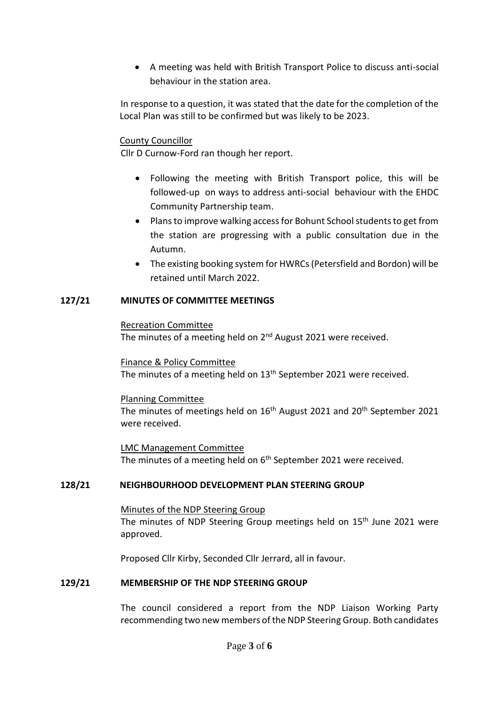• A meeting was held with British Transport Police to discuss anti-social behaviour in the station area.

In response to a question, it was stated that the date for the completion of the Local Plan was still to be confirmed but was likely to be 2023.

### County Councillor

Cllr D Curnow-Ford ran though her report.

- Following the meeting with British Transport police, this will be followed-up on ways to address anti-social behaviour with the EHDC Community Partnership team.
- Plans to improve walking access for Bohunt School students to get from the station are progressing with a public consultation due in the Autumn.
- The existing booking system for HWRCs (Petersfield and Bordon) will be retained until March 2022.

#### **127/21 MINUTES OF COMMITTEE MEETINGS**

#### Recreation Committee

The minutes of a meeting held on 2<sup>nd</sup> August 2021 were received.

Finance & Policy Committee

The minutes of a meeting held on 13<sup>th</sup> September 2021 were received.

#### Planning Committee

The minutes of meetings held on 16<sup>th</sup> August 2021 and 20<sup>th</sup> September 2021 were received.

LMC Management Committee The minutes of a meeting held on 6<sup>th</sup> September 2021 were received.

# **128/21 NEIGHBOURHOOD DEVELOPMENT PLAN STEERING GROUP**

Minutes of the NDP Steering Group The minutes of NDP Steering Group meetings held on 15<sup>th</sup> June 2021 were approved.

Proposed Cllr Kirby, Seconded Cllr Jerrard, all in favour.

# **129/21 MEMBERSHIP OF THE NDP STEERING GROUP**

The council considered a report from the NDP Liaison Working Party recommending two new members of the NDP Steering Group. Both candidates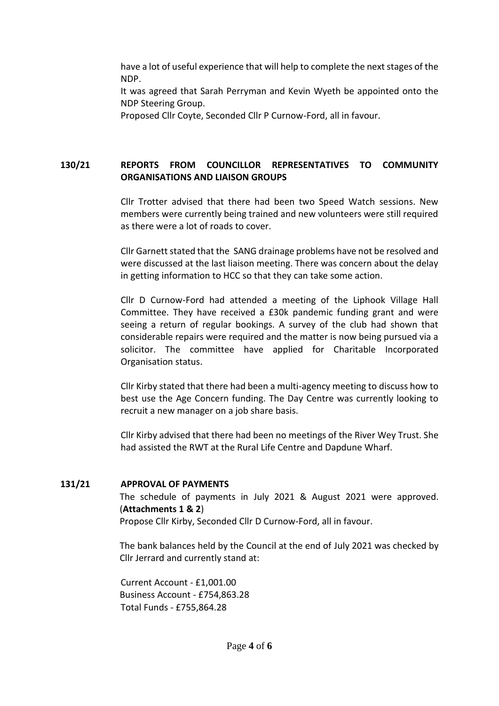have a lot of useful experience that will help to complete the next stages of the NDP. It was agreed that Sarah Perryman and Kevin Wyeth be appointed onto the

NDP Steering Group.

Proposed Cllr Coyte, Seconded Cllr P Curnow-Ford, all in favour.

# **130/21 REPORTS FROM COUNCILLOR REPRESENTATIVES TO COMMUNITY ORGANISATIONS AND LIAISON GROUPS**

Cllr Trotter advised that there had been two Speed Watch sessions. New members were currently being trained and new volunteers were still required as there were a lot of roads to cover.

Cllr Garnett stated that the SANG drainage problems have not be resolved and were discussed at the last liaison meeting. There was concern about the delay in getting information to HCC so that they can take some action.

Cllr D Curnow-Ford had attended a meeting of the Liphook Village Hall Committee. They have received a £30k pandemic funding grant and were seeing a return of regular bookings. A survey of the club had shown that considerable repairs were required and the matter is now being pursued via a solicitor. The committee have applied for Charitable Incorporated Organisation status.

Cllr Kirby stated that there had been a multi-agency meeting to discuss how to best use the Age Concern funding. The Day Centre was currently looking to recruit a new manager on a job share basis.

Cllr Kirby advised that there had been no meetings of the River Wey Trust. She had assisted the RWT at the Rural Life Centre and Dapdune Wharf.

# **131/21 APPROVAL OF PAYMENTS**

The schedule of payments in July 2021 & August 2021 were approved. (**Attachments 1 & 2**)

Propose Cllr Kirby, Seconded Cllr D Curnow-Ford, all in favour.

The bank balances held by the Council at the end of July 2021 was checked by Cllr Jerrard and currently stand at:

Current Account - £1,001.00 Business Account - £754,863.28 Total Funds - £755,864.28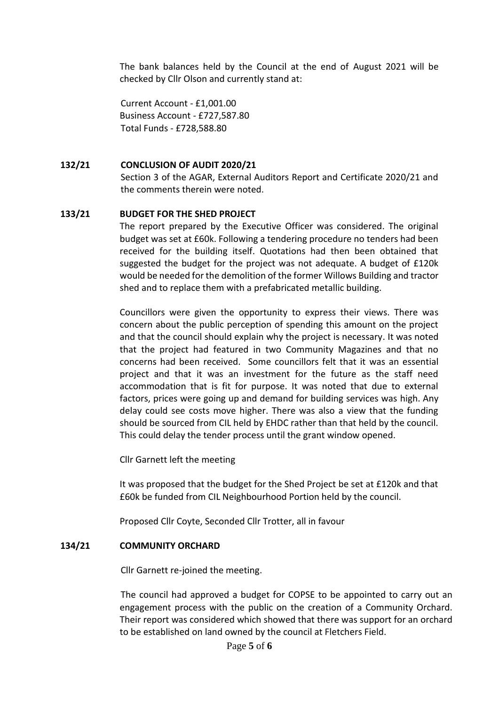The bank balances held by the Council at the end of August 2021 will be checked by Cllr Olson and currently stand at:

Current Account - £1,001.00 Business Account - £727,587.80 Total Funds - £728,588.80

#### **132/21 CONCLUSION OF AUDIT 2020/21**

Section 3 of the AGAR, External Auditors Report and Certificate 2020/21 and the comments therein were noted.

# **133/21 BUDGET FOR THE SHED PROJECT**

The report prepared by the Executive Officer was considered. The original budget was set at £60k. Following a tendering procedure no tenders had been received for the building itself. Quotations had then been obtained that suggested the budget for the project was not adequate. A budget of £120k would be needed for the demolition of the former Willows Building and tractor shed and to replace them with a prefabricated metallic building.

Councillors were given the opportunity to express their views. There was concern about the public perception of spending this amount on the project and that the council should explain why the project is necessary. It was noted that the project had featured in two Community Magazines and that no concerns had been received. Some councillors felt that it was an essential project and that it was an investment for the future as the staff need accommodation that is fit for purpose. It was noted that due to external factors, prices were going up and demand for building services was high. Any delay could see costs move higher. There was also a view that the funding should be sourced from CIL held by EHDC rather than that held by the council. This could delay the tender process until the grant window opened.

Cllr Garnett left the meeting

It was proposed that the budget for the Shed Project be set at £120k and that £60k be funded from CIL Neighbourhood Portion held by the council.

Proposed Cllr Coyte, Seconded Cllr Trotter, all in favour

#### **134/21 COMMUNITY ORCHARD**

Cllr Garnett re-joined the meeting.

The council had approved a budget for COPSE to be appointed to carry out an engagement process with the public on the creation of a Community Orchard. Their report was considered which showed that there was support for an orchard to be established on land owned by the council at Fletchers Field.